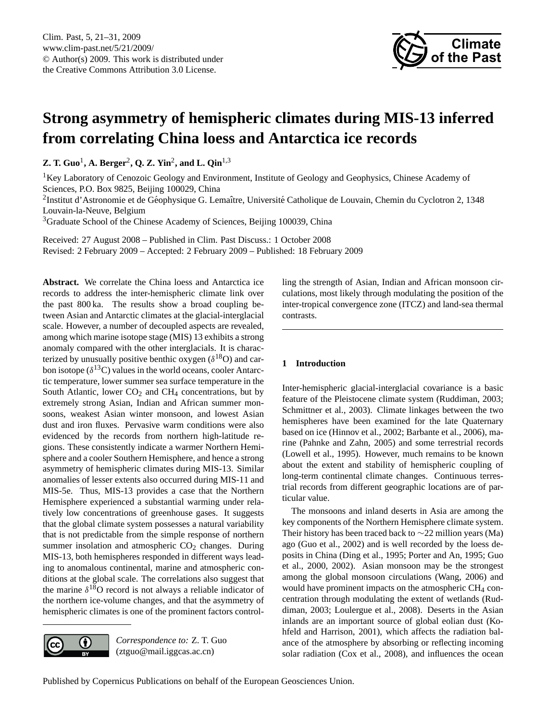

# <span id="page-0-0"></span>**Strong asymmetry of hemispheric climates during MIS-13 inferred from correlating China loess and Antarctica ice records**

**Z. T. Guo<sup>1</sup>, A. Berger<sup>2</sup>, Q. Z. Yin<sup>2</sup>, and L. Qin<sup>1,3</sup>** 

<sup>1</sup>Key Laboratory of Cenozoic Geology and Environment, Institute of Geology and Geophysics, Chinese Academy of Sciences, P.O. Box 9825, Beijing 100029, China

<sup>2</sup>Institut d'Astronomie et de Géophysique G. Lemaître, Université Catholique de Louvain, Chemin du Cyclotron 2, 1348 Louvain-la-Neuve, Belgium

<sup>3</sup>Graduate School of the Chinese Academy of Sciences, Beijing 100039, China

Received: 27 August 2008 – Published in Clim. Past Discuss.: 1 October 2008 Revised: 2 February 2009 – Accepted: 2 February 2009 – Published: 18 February 2009

Abstract. We correlate the China loess and Antarctica ice records to address the inter-hemispheric climate link over the past 800 ka. The results show a broad coupling between Asian and Antarctic climates at the glacial-interglacial scale. However, a number of decoupled aspects are revealed, among which marine isotope stage (MIS) 13 exhibits a strong anomaly compared with the other interglacials. It is characterized by unusually positive benthic oxygen  $(\delta^{18}O)$  and carbon isotope ( $\delta^{13}$ C) values in the world oceans, cooler Antarctic temperature, lower summer sea surface temperature in the South Atlantic, lower  $CO<sub>2</sub>$  and  $CH<sub>4</sub>$  concentrations, but by extremely strong Asian, Indian and African summer monsoons, weakest Asian winter monsoon, and lowest Asian dust and iron fluxes. Pervasive warm conditions were also evidenced by the records from northern high-latitude regions. These consistently indicate a warmer Northern Hemisphere and a cooler Southern Hemisphere, and hence a strong asymmetry of hemispheric climates during MIS-13. Similar anomalies of lesser extents also occurred during MIS-11 and MIS-5e. Thus, MIS-13 provides a case that the Northern Hemisphere experienced a substantial warming under relatively low concentrations of greenhouse gases. It suggests that the global climate system possesses a natural variability that is not predictable from the simple response of northern summer insolation and atmospheric  $CO<sub>2</sub>$  changes. During MIS-13, both hemispheres responded in different ways leading to anomalous continental, marine and atmospheric conditions at the global scale. The correlations also suggest that the marine  $\delta^{18}O$  record is not always a reliable indicator of the northern ice-volume changes, and that the asymmetry of hemispheric climates is one of the prominent factors control-



*Correspondence to:* Z. T. Guo (ztguo@mail.iggcas.ac.cn)

ling the strength of Asian, Indian and African monsoon circulations, most likely through modulating the position of the inter-tropical convergence zone (ITCZ) and land-sea thermal contrasts.

## **1 Introduction**

Inter-hemispheric glacial-interglacial covariance is a basic feature of the Pleistocene climate system (Ruddiman, 2003; Schmittner et al., 2003). Climate linkages between the two hemispheres have been examined for the late Quaternary based on ice (Hinnov et al., 2002; Barbante et al., 2006), marine (Pahnke and Zahn, 2005) and some terrestrial records (Lowell et al., 1995). However, much remains to be known about the extent and stability of hemispheric coupling of long-term continental climate changes. Continuous terrestrial records from different geographic locations are of particular value.

The monsoons and inland deserts in Asia are among the key components of the Northern Hemisphere climate system. Their history has been traced back to ∼22 million years (Ma) ago (Guo et al., 2002) and is well recorded by the loess deposits in China (Ding et al., 1995; Porter and An, 1995; Guo et al., 2000, 2002). Asian monsoon may be the strongest among the global monsoon circulations (Wang, 2006) and would have prominent impacts on the atmospheric CH<sub>4</sub> concentration through modulating the extent of wetlands (Ruddiman, 2003; Loulergue et al., 2008). Deserts in the Asian inlands are an important source of global eolian dust (Kohfeld and Harrison, 2001), which affects the radiation balance of the atmosphere by absorbing or reflecting incoming solar radiation (Cox et al., 2008), and influences the ocean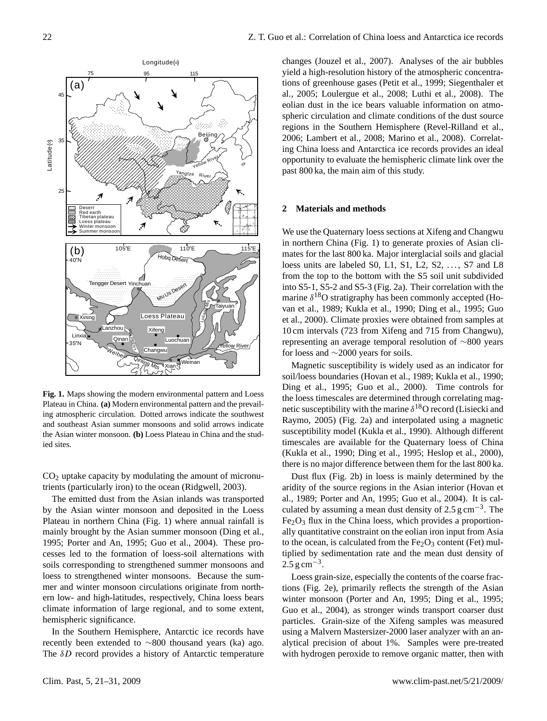

**Fig. 1.** Maps showing the modern environmental pattern and Loess Plateau in China. **(a)** Modern environmental pattern and the prevailing atmospheric circulation. Dotted arrows indicate the southwest and southeast Asian summer monsoons and solid arrows indicate the Asian winter monsoon. **(b)** Loess Plateau in China and the studied sites.

 $CO<sub>2</sub>$  uptake capacity by modulating the amount of micronutrients (particularly iron) to the ocean (Ridgwell, 2003).

The emitted dust from the Asian inlands was transported by the Asian winter monsoon and deposited in the Loess Plateau in northern China (Fig. 1) where annual rainfall is mainly brought by the Asian summer monsoon (Ding et al., 1995; Porter and An, 1995; Guo et al., 2004). These processes led to the formation of loess-soil alternations with soils corresponding to strengthened summer monsoons and loess to strengthened winter monsoons. Because the summer and winter monsoon circulations originate from northern low- and high-latitudes, respectively, China loess bears climate information of large regional, and to some extent, hemispheric significance.

In the Southern Hemisphere, Antarctic ice records have recently been extended to ∼800 thousand years (ka) ago. The  $\delta D$  record provides a history of Antarctic temperature

changes (Jouzel et al., 2007). Analyses of the air bubbles yield a high-resolution history of the atmospheric concentrations of greenhouse gases (Petit et al., 1999; Siegenthaler et al., 2005; Loulergue et al., 2008; Luthi et al., 2008). The eolian dust in the ice bears valuable information on atmospheric circulation and climate conditions of the dust source regions in the Southern Hemisphere (Revel-Rilland et al., 2006; Lambert et al., 2008; Marino et al., 2008). Correlating China loess and Antarctica ice records provides an ideal opportunity to evaluate the hemispheric climate link over the past 800 ka, the main aim of this study.

#### **2 Materials and methods**

We use the Quaternary loess sections at Xifeng and Changwu in northern China (Fig. 1) to generate proxies of Asian climates for the last 800 ka. Major interglacial soils and glacial loess units are labeled S0, L1, S1, L2, S2,  $\dots$ , S7 and L8 from the top to the bottom with the S5 soil unit subdivided into S5-1, S5-2 and S5-3 (Fig. 2a). Their correlation with the marine  $\delta^{18}O$  stratigraphy has been commonly accepted (Hovan et al., 1989; Kukla et al., 1990; Ding et al., 1995; Guo et al., 2000). Climate proxies were obtained from samples at 10 cm intervals (723 from Xifeng and 715 from Changwu), representing an average temporal resolution of ∼800 years for loess and ∼2000 years for soils.

Magnetic susceptibility is widely used as an indicator for soil/loess boundaries (Hovan et al., 1989; Kukla et al., 1990; Ding et al., 1995; Guo et al., 2000). Time controls for the loess timescales are determined through correlating magnetic susceptibility with the marine  $\delta^{18}$ O record (Lisiecki and Raymo, 2005) (Fig. 2a) and interpolated using a magnetic susceptibility model (Kukla et al., 1990). Although different timescales are available for the Quaternary loess of China (Kukla et al., 1990; Ding et al., 1995; Heslop et al., 2000), there is no major difference between them for the last 800 ka.

Dust flux (Fig. 2b) in loess is mainly determined by the aridity of the source regions in the Asian interior (Hovan et al., 1989; Porter and An, 1995; Guo et al., 2004). It is calculated by assuming a mean dust density of  $2.5 \text{ g cm}^{-3}$ . The  $Fe<sub>2</sub>O<sub>3</sub>$  flux in the China loess, which provides a proportionally quantitative constraint on the eolian iron input from Asia to the ocean, is calculated from the  $Fe<sub>2</sub>O<sub>3</sub>$  content (Fet) multiplied by sedimentation rate and the mean dust density of  $2.5 \text{ g cm}^{-3}$ .

Loess grain-size, especially the contents of the coarse fractions (Fig. 2e), primarily reflects the strength of the Asian winter monsoon (Porter and An, 1995; Ding et al., 1995; Guo et al., 2004), as stronger winds transport coarser dust particles. Grain-size of the Xifeng samples was measured using a Malvern Mastersizer-2000 laser analyzer with an analytical precision of about 1%. Samples were pre-treated with hydrogen peroxide to remove organic matter, then with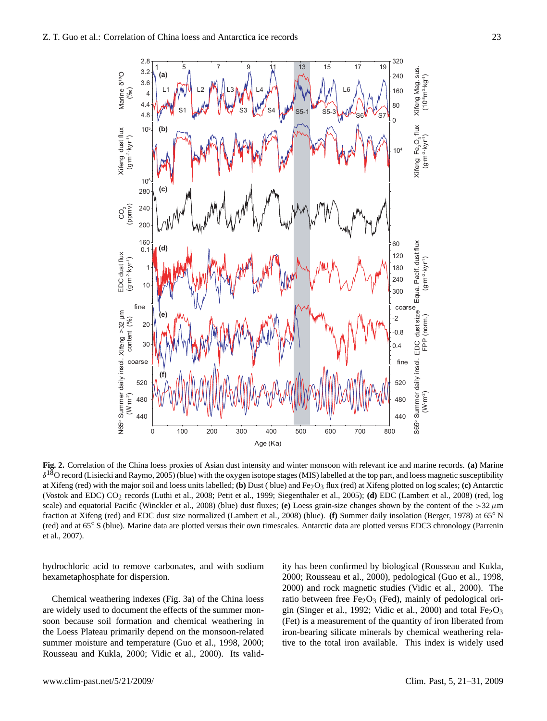

**Fig. 2.** Correlation of the China loess proxies of Asian dust intensity and winter monsoon with relevant ice and marine records. **(a)** Marine  $\delta^{18}$ O record (Lisiecki and Raymo, 2005) (blue) with the oxygen isotope stages (MIS) labelled at the top part, and loess magnetic susceptibility at Xifeng (red) with the major soil and loess units labelled; **(b)** Dust ( blue) and Fe2O3 flux (red) at Xifeng plotted on log scales; **(c)** Antarctic (Vostok and EDC) CO2 records (Luthi et al., 2008; Petit et al., 1999; Siegenthaler et al., 2005); **(d)** EDC (Lambert et al., 2008) (red, log scale) and equatorial Pacific (Winckler et al., 2008) (blue) dust fluxes; **(e)** Loess grain-size changes shown by the content of the  $>32 \mu m$ fraction at Xifeng (red) and EDC dust size normalized (Lambert et al., 2008) (blue). **(f)** Summer daily insolation (Berger, 1978) at 65◦ N (red) and at 65◦ S (blue). Marine data are plotted versus their own timescales. Antarctic data are plotted versus EDC3 chronology (Parrenin et al., 2007).

hydrochloric acid to remove carbonates, and with sodium hexametaphosphate for dispersion.

Chemical weathering indexes (Fig. 3a) of the China loess are widely used to document the effects of the summer monsoon because soil formation and chemical weathering in the Loess Plateau primarily depend on the monsoon-related summer moisture and temperature (Guo et al., 1998, 2000; Rousseau and Kukla, 2000; Vidic et al., 2000). Its validity has been confirmed by biological (Rousseau and Kukla, 2000; Rousseau et al., 2000), pedological (Guo et al., 1998, 2000) and rock magnetic studies (Vidic et al., 2000). The ratio between free Fe<sub>2</sub>O<sub>3</sub> (Fed), mainly of pedological origin (Singer et al., 1992; Vidic et al., 2000) and total  $Fe<sub>2</sub>O<sub>3</sub>$ (Fet) is a measurement of the quantity of iron liberated from iron-bearing silicate minerals by chemical weathering relative to the total iron available. This index is widely used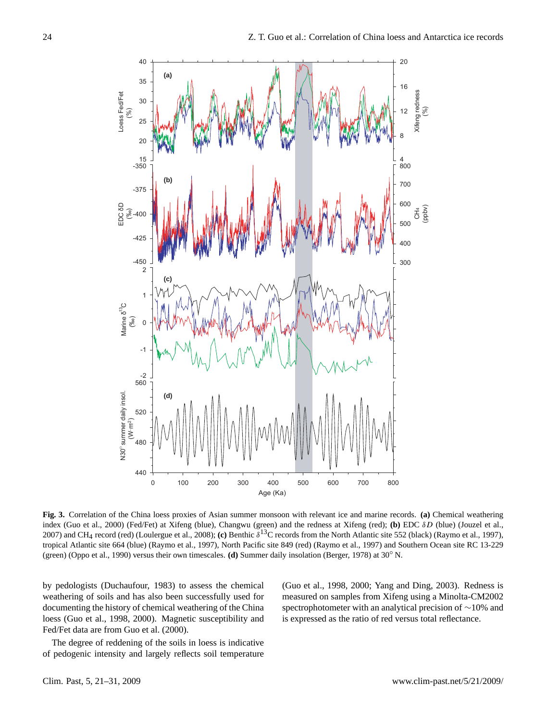

Fig. 3. Correlation of the China loess proxies of Asian summer monsoon with relevant ice and marine records. (a) Chemical weathering index (Guo et al., 2000) (Fed/Fet) at Xifeng (blue), Changwu (green) and the redness at Xifeng (red); (b) EDC δD (blue) (Jouzel et al., 2007) and CH4 record (red) (Loulergue et al., 2008); **(c)** Benthic δ <sup>13</sup>C records from the North Atlantic site 552 (black) (Raymo et al., 1997), tropical Atlantic site 664 (blue) (Raymo et al., 1997), North Pacific site 849 (red) (Raymo et al., 1997) and Southern Ocean site RC 13-229 (green) (Oppo et al., 1990) versus their own timescales. **(d)** Summer daily insolation (Berger, 1978) at 30◦ N.

by pedologists (Duchaufour, 1983) to assess the chemical weathering of soils and has also been successfully used for documenting the history of chemical weathering of the China loess (Guo et al., 1998, 2000). Magnetic susceptibility and Fed/Fet data are from Guo et al. (2000).

The degree of reddening of the soils in loess is indicative of pedogenic intensity and largely reflects soil temperature

(Guo et al., 1998, 2000; Yang and Ding, 2003). Redness is measured on samples from Xifeng using a Minolta-CM2002 spectrophotometer with an analytical precision of ∼10% and is expressed as the ratio of red versus total reflectance.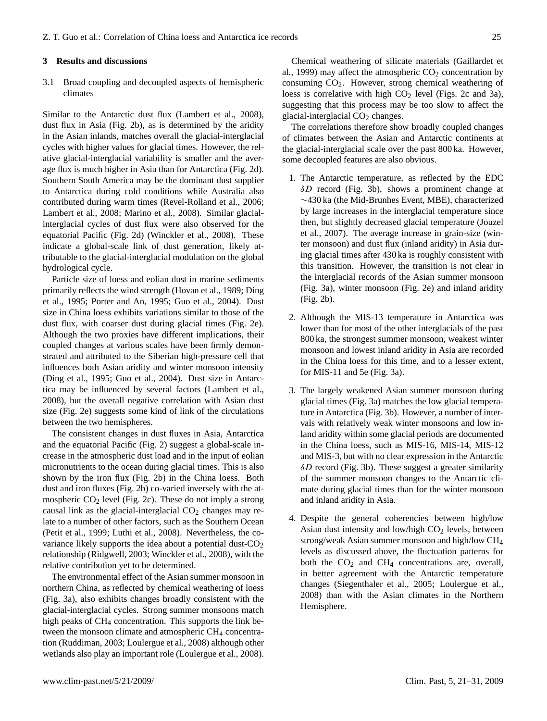#### **3 Results and discussions**

3.1 Broad coupling and decoupled aspects of hemispheric climates

Similar to the Antarctic dust flux (Lambert et al., 2008), dust flux in Asia (Fig. 2b), as is determined by the aridity in the Asian inlands, matches overall the glacial-interglacial cycles with higher values for glacial times. However, the relative glacial-interglacial variability is smaller and the average flux is much higher in Asia than for Antarctica (Fig. 2d). Southern South America may be the dominant dust supplier to Antarctica during cold conditions while Australia also contributed during warm times (Revel-Rolland et al., 2006; Lambert et al., 2008; Marino et al., 2008). Similar glacialinterglacial cycles of dust flux were also observed for the equatorial Pacific (Fig. 2d) (Winckler et al., 2008). These indicate a global-scale link of dust generation, likely attributable to the glacial-interglacial modulation on the global hydrological cycle.

Particle size of loess and eolian dust in marine sediments primarily reflects the wind strength (Hovan et al., 1989; Ding et al., 1995; Porter and An, 1995; Guo et al., 2004). Dust size in China loess exhibits variations similar to those of the dust flux, with coarser dust during glacial times (Fig. 2e). Although the two proxies have different implications, their coupled changes at various scales have been firmly demonstrated and attributed to the Siberian high-pressure cell that influences both Asian aridity and winter monsoon intensity (Ding et al., 1995; Guo et al., 2004). Dust size in Antarctica may be influenced by several factors (Lambert et al., 2008), but the overall negative correlation with Asian dust size (Fig. 2e) suggests some kind of link of the circulations between the two hemispheres.

The consistent changes in dust fluxes in Asia, Antarctica and the equatorial Pacific (Fig. 2) suggest a global-scale increase in the atmospheric dust load and in the input of eolian micronutrients to the ocean during glacial times. This is also shown by the iron flux (Fig. 2b) in the China loess. Both dust and iron fluxes (Fig. 2b) co-varied inversely with the atmospheric  $CO<sub>2</sub>$  level (Fig. 2c). These do not imply a strong causal link as the glacial-interglacial  $CO<sub>2</sub>$  changes may relate to a number of other factors, such as the Southern Ocean (Petit et al., 1999; Luthi et al., 2008). Nevertheless, the covariance likely supports the idea about a potential dust-CO<sub>2</sub> relationship (Ridgwell, 2003; Winckler et al., 2008), with the relative contribution yet to be determined.

The environmental effect of the Asian summer monsoon in northern China, as reflected by chemical weathering of loess (Fig. 3a), also exhibits changes broadly consistent with the glacial-interglacial cycles. Strong summer monsoons match high peaks of CH<sub>4</sub> concentration. This supports the link between the monsoon climate and atmospheric  $CH<sub>4</sub>$  concentration (Ruddiman, 2003; Loulergue et al., 2008) although other wetlands also play an important role (Loulergue et al., 2008).

Chemical weathering of silicate materials (Gaillardet et al., 1999) may affect the atmospheric  $CO<sub>2</sub>$  concentration by consuming  $CO<sub>2</sub>$ . However, strong chemical weathering of loess is correlative with high  $CO<sub>2</sub>$  level (Figs. 2c and 3a), suggesting that this process may be too slow to affect the glacial-interglacial  $CO<sub>2</sub>$  changes.

The correlations therefore show broadly coupled changes of climates between the Asian and Antarctic continents at the glacial-interglacial scale over the past 800 ka. However, some decoupled features are also obvious.

- 1. The Antarctic temperature, as reflected by the EDC  $\delta D$  record (Fig. 3b), shows a prominent change at ∼430 ka (the Mid-Brunhes Event, MBE), characterized by large increases in the interglacial temperature since then, but slightly decreased glacial temperature (Jouzel et al., 2007). The average increase in grain-size (winter monsoon) and dust flux (inland aridity) in Asia during glacial times after 430 ka is roughly consistent with this transition. However, the transition is not clear in the interglacial records of the Asian summer monsoon (Fig. 3a), winter monsoon (Fig. 2e) and inland aridity (Fig. 2b).
- 2. Although the MIS-13 temperature in Antarctica was lower than for most of the other interglacials of the past 800 ka, the strongest summer monsoon, weakest winter monsoon and lowest inland aridity in Asia are recorded in the China loess for this time, and to a lesser extent, for MIS-11 and 5e (Fig. 3a).
- 3. The largely weakened Asian summer monsoon during glacial times (Fig. 3a) matches the low glacial temperature in Antarctica (Fig. 3b). However, a number of intervals with relatively weak winter monsoons and low inland aridity within some glacial periods are documented in the China loess, such as MIS-16, MIS-14, MIS-12 and MIS-3, but with no clear expression in the Antarctic  $\delta D$  record (Fig. 3b). These suggest a greater similarity of the summer monsoon changes to the Antarctic climate during glacial times than for the winter monsoon and inland aridity in Asia.
- 4. Despite the general coherencies between high/low Asian dust intensity and low/high  $CO<sub>2</sub>$  levels, between strong/weak Asian summer monsoon and high/low CH<sup>4</sup> levels as discussed above, the fluctuation patterns for both the  $CO<sub>2</sub>$  and  $CH<sub>4</sub>$  concentrations are, overall, in better agreement with the Antarctic temperature changes (Siegenthaler et al., 2005; Loulergue et al., 2008) than with the Asian climates in the Northern Hemisphere.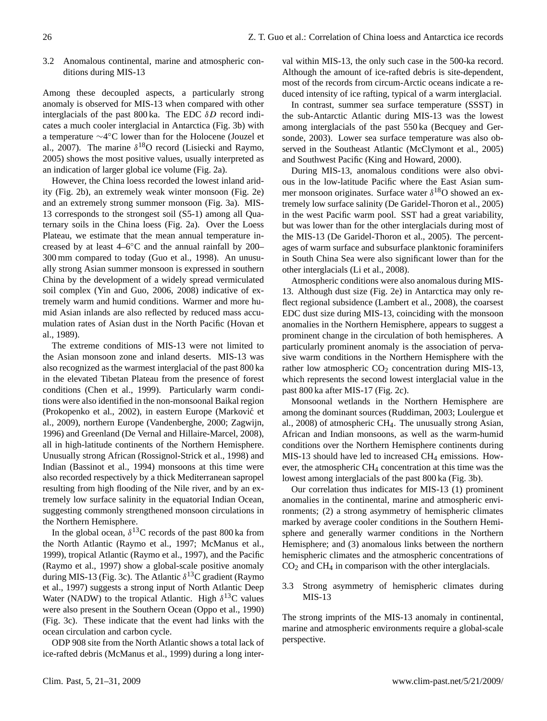### 3.2 Anomalous continental, marine and atmospheric conditions during MIS-13

Among these decoupled aspects, a particularly strong anomaly is observed for MIS-13 when compared with other interglacials of the past  $800 \text{ ka}$ . The EDC  $\delta D$  record indicates a much cooler interglacial in Antarctica (Fig. 3b) with a temperature ∼4 ◦C lower than for the Holocene (Jouzel et al., 2007). The marine  $\delta^{18}$ O record (Lisiecki and Raymo, 2005) shows the most positive values, usually interpreted as an indication of larger global ice volume (Fig. 2a).

However, the China loess recorded the lowest inland aridity (Fig. 2b), an extremely weak winter monsoon (Fig. 2e) and an extremely strong summer monsoon (Fig. 3a). MIS-13 corresponds to the strongest soil (S5-1) among all Quaternary soils in the China loess (Fig. 2a). Over the Loess Plateau, we estimate that the mean annual temperature increased by at least 4–6◦C and the annual rainfall by 200– 300 mm compared to today (Guo et al., 1998). An unusually strong Asian summer monsoon is expressed in southern China by the development of a widely spread vermiculated soil complex (Yin and Guo, 2006, 2008) indicative of extremely warm and humid conditions. Warmer and more humid Asian inlands are also reflected by reduced mass accumulation rates of Asian dust in the North Pacific (Hovan et al., 1989).

The extreme conditions of MIS-13 were not limited to the Asian monsoon zone and inland deserts. MIS-13 was also recognized as the warmest interglacial of the past 800 ka in the elevated Tibetan Plateau from the presence of forest conditions (Chen et al., 1999). Particularly warm conditions were also identified in the non-monsoonal Baikal region (Prokopenko et al., 2002), in eastern Europe (Markovic et ´ al., 2009), northern Europe (Vandenberghe, 2000; Zagwijn, 1996) and Greenland (De Vernal and Hillaire-Marcel, 2008), all in high-latitude continents of the Northern Hemisphere. Unusually strong African (Rossignol-Strick et al., 1998) and Indian (Bassinot et al., 1994) monsoons at this time were also recorded respectively by a thick Mediterranean sapropel resulting from high flooding of the Nile river, and by an extremely low surface salinity in the equatorial Indian Ocean, suggesting commonly strengthened monsoon circulations in the Northern Hemisphere.

In the global ocean,  $\delta^{13}$ C records of the past 800 ka from the North Atlantic (Raymo et al., 1997; McManus et al., 1999), tropical Atlantic (Raymo et al., 1997), and the Pacific (Raymo et al., 1997) show a global-scale positive anomaly during MIS-13 (Fig. 3c). The Atlantic  $\delta^{13}C$  gradient (Raymo et al., 1997) suggests a strong input of North Atlantic Deep Water (NADW) to the tropical Atlantic. High  $\delta^{13}$ C values were also present in the Southern Ocean (Oppo et al., 1990) (Fig. 3c). These indicate that the event had links with the ocean circulation and carbon cycle.

ODP 908 site from the North Atlantic shows a total lack of ice-rafted debris (McManus et al., 1999) during a long inter-

val within MIS-13, the only such case in the 500-ka record. Although the amount of ice-rafted debris is site-dependent, most of the records from circum-Arctic oceans indicate a reduced intensity of ice rafting, typical of a warm interglacial.

In contrast, summer sea surface temperature (SSST) in the sub-Antarctic Atlantic during MIS-13 was the lowest among interglacials of the past 550 ka (Becquey and Gersonde, 2003). Lower sea surface temperature was also observed in the Southeast Atlantic (McClymont et al., 2005) and Southwest Pacific (King and Howard, 2000).

During MIS-13, anomalous conditions were also obvious in the low-latitude Pacific where the East Asian summer monsoon originates. Surface water  $\delta^{18}$ O showed an extremely low surface salinity (De Garidel-Thoron et al., 2005) in the west Pacific warm pool. SST had a great variability, but was lower than for the other interglacials during most of the MIS-13 (De Garidel-Thoron et al., 2005). The percentages of warm surface and subsurface planktonic foraminifers in South China Sea were also significant lower than for the other interglacials (Li et al., 2008).

Atmospheric conditions were also anomalous during MIS-13. Although dust size (Fig. 2e) in Antarctica may only reflect regional subsidence (Lambert et al., 2008), the coarsest EDC dust size during MIS-13, coinciding with the monsoon anomalies in the Northern Hemisphere, appears to suggest a prominent change in the circulation of both hemispheres. A particularly prominent anomaly is the association of pervasive warm conditions in the Northern Hemisphere with the rather low atmospheric  $CO<sub>2</sub>$  concentration during MIS-13, which represents the second lowest interglacial value in the past 800 ka after MIS-17 (Fig. 2c).

Monsoonal wetlands in the Northern Hemisphere are among the dominant sources (Ruddiman, 2003; Loulergue et al., 2008) of atmospheric CH4. The unusually strong Asian, African and Indian monsoons, as well as the warm-humid conditions over the Northern Hemisphere continents during MIS-13 should have led to increased  $CH_4$  emissions. However, the atmospheric CH<sup>4</sup> concentration at this time was the lowest among interglacials of the past 800 ka (Fig. 3b).

Our correlation thus indicates for MIS-13 (1) prominent anomalies in the continental, marine and atmospheric environments; (2) a strong asymmetry of hemispheric climates marked by average cooler conditions in the Southern Hemisphere and generally warmer conditions in the Northern Hemisphere; and (3) anomalous links between the northern hemispheric climates and the atmospheric concentrations of  $CO<sub>2</sub>$  and  $CH<sub>4</sub>$  in comparison with the other interglacials.

3.3 Strong asymmetry of hemispheric climates during MIS-13

The strong imprints of the MIS-13 anomaly in continental, marine and atmospheric environments require a global-scale perspective.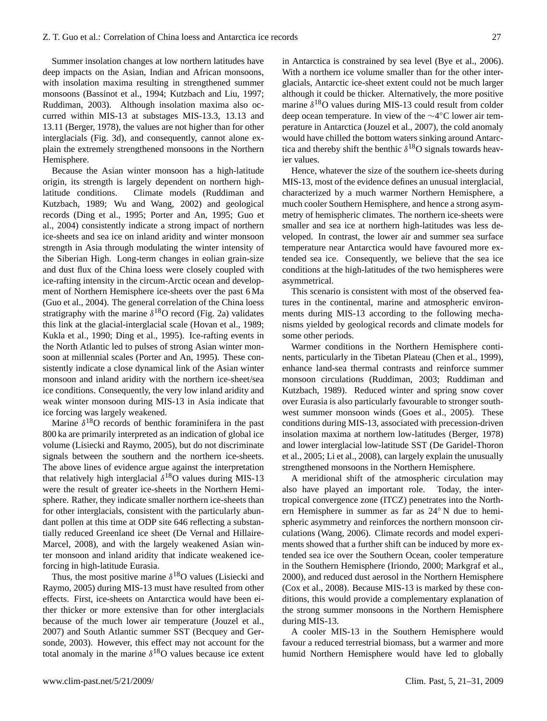Summer insolation changes at low northern latitudes have deep impacts on the Asian, Indian and African monsoons, with insolation maxima resulting in strengthened summer monsoons (Bassinot et al., 1994; Kutzbach and Liu, 1997; Ruddiman, 2003). Although insolation maxima also occurred within MIS-13 at substages MIS-13.3, 13.13 and 13.11 (Berger, 1978), the values are not higher than for other interglacials (Fig. 3d), and consequently, cannot alone explain the extremely strengthened monsoons in the Northern Hemisphere.

Because the Asian winter monsoon has a high-latitude origin, its strength is largely dependent on northern highlatitude conditions. Climate models (Ruddiman and Kutzbach, 1989; Wu and Wang, 2002) and geological records (Ding et al., 1995; Porter and An, 1995; Guo et al., 2004) consistently indicate a strong impact of northern ice-sheets and sea ice on inland aridity and winter monsoon strength in Asia through modulating the winter intensity of the Siberian High. Long-term changes in eolian grain-size and dust flux of the China loess were closely coupled with ice-rafting intensity in the circum-Arctic ocean and development of Northern Hemisphere ice-sheets over the past 6 Ma (Guo et al., 2004). The general correlation of the China loess stratigraphy with the marine  $\delta^{18}$ O record (Fig. 2a) validates this link at the glacial-interglacial scale (Hovan et al., 1989; Kukla et al., 1990; Ding et al., 1995). Ice-rafting events in the North Atlantic led to pulses of strong Asian winter monsoon at millennial scales (Porter and An, 1995). These consistently indicate a close dynamical link of the Asian winter monsoon and inland aridity with the northern ice-sheet/sea ice conditions. Consequently, the very low inland aridity and weak winter monsoon during MIS-13 in Asia indicate that ice forcing was largely weakened.

Marine  $\delta^{18}O$  records of benthic foraminifera in the past 800 ka are primarily interpreted as an indication of global ice volume (Lisiecki and Raymo, 2005), but do not discriminate signals between the southern and the northern ice-sheets. The above lines of evidence argue against the interpretation that relatively high interglacial  $\delta^{18}O$  values during MIS-13 were the result of greater ice-sheets in the Northern Hemisphere. Rather, they indicate smaller northern ice-sheets than for other interglacials, consistent with the particularly abundant pollen at this time at ODP site 646 reflecting a substantially reduced Greenland ice sheet (De Vernal and Hillaire-Marcel, 2008), and with the largely weakened Asian winter monsoon and inland aridity that indicate weakened iceforcing in high-latitude Eurasia.

Thus, the most positive marine  $\delta^{18}$ O values (Lisiecki and Raymo, 2005) during MIS-13 must have resulted from other effects. First, ice-sheets on Antarctica would have been either thicker or more extensive than for other interglacials because of the much lower air temperature (Jouzel et al., 2007) and South Atlantic summer SST (Becquey and Gersonde, 2003). However, this effect may not account for the total anomaly in the marine  $\delta^{18}$ O values because ice extent

in Antarctica is constrained by sea level (Bye et al., 2006). With a northern ice volume smaller than for the other interglacials, Antarctic ice-sheet extent could not be much larger although it could be thicker. Alternatively, the more positive marine  $\delta^{18}$ O values during MIS-13 could result from colder deep ocean temperature. In view of the ∼4 ◦C lower air temperature in Antarctica (Jouzel et al., 2007), the cold anomaly would have chilled the bottom waters sinking around Antarctica and thereby shift the benthic  $\delta^{18}$ O signals towards heavier values.

Hence, whatever the size of the southern ice-sheets during MIS-13, most of the evidence defines an unusual interglacial, characterized by a much warmer Northern Hemisphere, a much cooler Southern Hemisphere, and hence a strong asymmetry of hemispheric climates. The northern ice-sheets were smaller and sea ice at northern high-latitudes was less developed. In contrast, the lower air and summer sea surface temperature near Antarctica would have favoured more extended sea ice. Consequently, we believe that the sea ice conditions at the high-latitudes of the two hemispheres were asymmetrical.

This scenario is consistent with most of the observed features in the continental, marine and atmospheric environments during MIS-13 according to the following mechanisms yielded by geological records and climate models for some other periods.

Warmer conditions in the Northern Hemisphere continents, particularly in the Tibetan Plateau (Chen et al., 1999), enhance land-sea thermal contrasts and reinforce summer monsoon circulations (Ruddiman, 2003; Ruddiman and Kutzbach, 1989). Reduced winter and spring snow cover over Eurasia is also particularly favourable to stronger southwest summer monsoon winds (Goes et al., 2005). These conditions during MIS-13, associated with precession-driven insolation maxima at northern low-latitudes (Berger, 1978) and lower interglacial low-latitude SST (De Garidel-Thoron et al., 2005; Li et al., 2008), can largely explain the unusually strengthened monsoons in the Northern Hemisphere.

A meridional shift of the atmospheric circulation may also have played an important role. Today, the intertropical convergence zone (ITCZ) penetrates into the Northern Hemisphere in summer as far as 24◦ N due to hemispheric asymmetry and reinforces the northern monsoon circulations (Wang, 2006). Climate records and model experiments showed that a further shift can be induced by more extended sea ice over the Southern Ocean, cooler temperature in the Southern Hemisphere (Iriondo, 2000; Markgraf et al., 2000), and reduced dust aerosol in the Northern Hemisphere (Cox et al., 2008). Because MIS-13 is marked by these conditions, this would provide a complementary explanation of the strong summer monsoons in the Northern Hemisphere during MIS-13.

A cooler MIS-13 in the Southern Hemisphere would favour a reduced terrestrial biomass, but a warmer and more humid Northern Hemisphere would have led to globally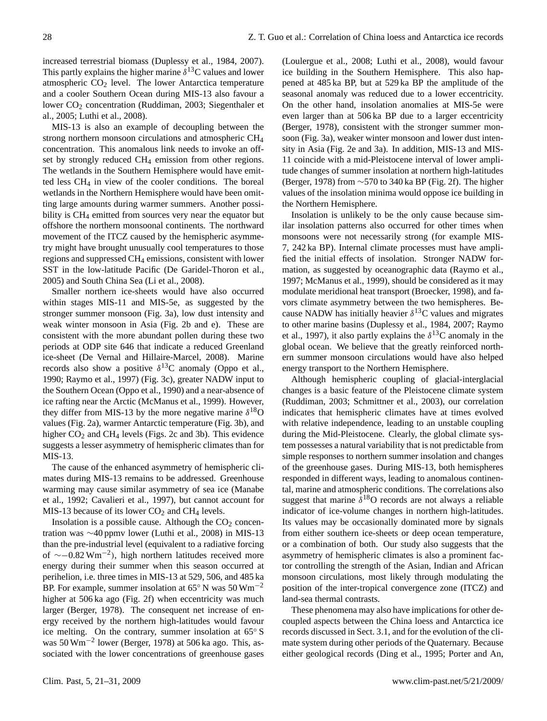increased terrestrial biomass (Duplessy et al., 1984, 2007). This partly explains the higher marine  $\delta^{13}$ C values and lower atmospheric  $CO<sub>2</sub>$  level. The lower Antarctica temperature and a cooler Southern Ocean during MIS-13 also favour a lower CO<sub>2</sub> concentration (Ruddiman, 2003; Siegenthaler et al., 2005; Luthi et al., 2008).

MIS-13 is also an example of decoupling between the strong northern monsoon circulations and atmospheric CH<sup>4</sup> concentration. This anomalous link needs to invoke an offset by strongly reduced CH<sup>4</sup> emission from other regions. The wetlands in the Southern Hemisphere would have emitted less CH<sup>4</sup> in view of the cooler conditions. The boreal wetlands in the Northern Hemisphere would have been omitting large amounts during warmer summers. Another possibility is CH<sub>4</sub> emitted from sources very near the equator but offshore the northern monsoonal continents. The northward movement of the ITCZ caused by the hemispheric asymmetry might have brought unusually cool temperatures to those regions and suppressed CH<sup>4</sup> emissions, consistent with lower SST in the low-latitude Pacific (De Garidel-Thoron et al., 2005) and South China Sea (Li et al., 2008).

Smaller northern ice-sheets would have also occurred within stages MIS-11 and MIS-5e, as suggested by the stronger summer monsoon (Fig. 3a), low dust intensity and weak winter monsoon in Asia (Fig. 2b and e). These are consistent with the more abundant pollen during these two periods at ODP site 646 that indicate a reduced Greenland ice-sheet (De Vernal and Hillaire-Marcel, 2008). Marine records also show a positive  $\delta^{13}$ C anomaly (Oppo et al., 1990; Raymo et al., 1997) (Fig. 3c), greater NADW input to the Southern Ocean (Oppo et al., 1990) and a near-absence of ice rafting near the Arctic (McManus et al., 1999). However, they differ from MIS-13 by the more negative marine  $\delta^{18}O$ values (Fig. 2a), warmer Antarctic temperature (Fig. 3b), and higher  $CO<sub>2</sub>$  and CH<sub>4</sub> levels (Figs. 2c and 3b). This evidence suggests a lesser asymmetry of hemispheric climates than for MIS-13.

The cause of the enhanced asymmetry of hemispheric climates during MIS-13 remains to be addressed. Greenhouse warming may cause similar asymmetry of sea ice (Manabe et al., 1992; Cavalieri et al., 1997), but cannot account for MIS-13 because of its lower  $CO<sub>2</sub>$  and CH<sub>4</sub> levels.

Insolation is a possible cause. Although the  $CO<sub>2</sub>$  concentration was ∼40 ppmv lower (Luthi et al., 2008) in MIS-13 than the pre-industrial level (equivalent to a radiative forcing of ∼−0.82 Wm−<sup>2</sup> ), high northern latitudes received more energy during their summer when this season occurred at perihelion, i.e. three times in MIS-13 at 529, 506, and 485 ka BP. For example, summer insolation at 65◦ N was 50 Wm−<sup>2</sup> higher at 506 ka ago (Fig. 2f) when eccentricity was much larger (Berger, 1978). The consequent net increase of energy received by the northern high-latitudes would favour ice melting. On the contrary, summer insolation at 65◦ S was 50 Wm−<sup>2</sup> lower (Berger, 1978) at 506 ka ago. This, associated with the lower concentrations of greenhouse gases (Loulergue et al., 2008; Luthi et al., 2008), would favour ice building in the Southern Hemisphere. This also happened at 485 ka BP, but at 529 ka BP the amplitude of the seasonal anomaly was reduced due to a lower eccentricity. On the other hand, insolation anomalies at MIS-5e were even larger than at 506 ka BP due to a larger eccentricity (Berger, 1978), consistent with the stronger summer monsoon (Fig. 3a), weaker winter monsoon and lower dust intensity in Asia (Fig. 2e and 3a). In addition, MIS-13 and MIS-11 coincide with a mid-Pleistocene interval of lower amplitude changes of summer insolation at northern high-latitudes (Berger, 1978) from ∼570 to 340 ka BP (Fig. 2f). The higher values of the insolation minima would oppose ice building in the Northern Hemisphere.

Insolation is unlikely to be the only cause because similar insolation patterns also occurred for other times when monsoons were not necessarily strong (for example MIS-7, 242 ka BP). Internal climate processes must have amplified the initial effects of insolation. Stronger NADW formation, as suggested by oceanographic data (Raymo et al., 1997; McManus et al., 1999), should be considered as it may modulate meridional heat transport (Broecker, 1998), and favors climate asymmetry between the two hemispheres. Because NADW has initially heavier  $\delta^{13}$ C values and migrates to other marine basins (Duplessy et al., 1984, 2007; Raymo et al., 1997), it also partly explains the  $\delta^{13}$ C anomaly in the global ocean. We believe that the greatly reinforced northern summer monsoon circulations would have also helped energy transport to the Northern Hemisphere.

Although hemispheric coupling of glacial-interglacial changes is a basic feature of the Pleistocene climate system (Ruddiman, 2003; Schmittner et al., 2003), our correlation indicates that hemispheric climates have at times evolved with relative independence, leading to an unstable coupling during the Mid-Pleistocene. Clearly, the global climate system possesses a natural variability that is not predictable from simple responses to northern summer insolation and changes of the greenhouse gases. During MIS-13, both hemispheres responded in different ways, leading to anomalous continental, marine and atmospheric conditions. The correlations also suggest that marine  $\delta^{18}O$  records are not always a reliable indicator of ice-volume changes in northern high-latitudes. Its values may be occasionally dominated more by signals from either southern ice-sheets or deep ocean temperature, or a combination of both. Our study also suggests that the asymmetry of hemispheric climates is also a prominent factor controlling the strength of the Asian, Indian and African monsoon circulations, most likely through modulating the position of the inter-tropical convergence zone (ITCZ) and land-sea thermal contrasts.

These phenomena may also have implications for other decoupled aspects between the China loess and Antarctica ice records discussed in Sect. 3.1, and for the evolution of the climate system during other periods of the Quaternary. Because either geological records (Ding et al., 1995; Porter and An,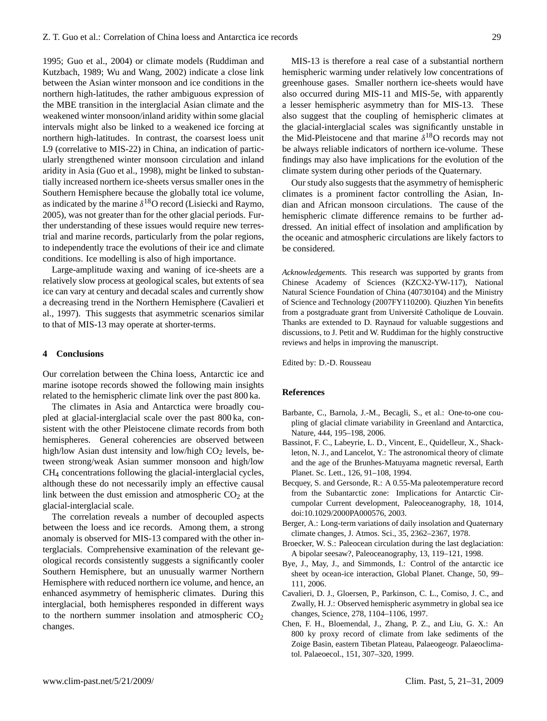1995; Guo et al., 2004) or climate models (Ruddiman and Kutzbach, 1989; Wu and Wang, 2002) indicate a close link between the Asian winter monsoon and ice conditions in the northern high-latitudes, the rather ambiguous expression of the MBE transition in the interglacial Asian climate and the weakened winter monsoon/inland aridity within some glacial intervals might also be linked to a weakened ice forcing at northern high-latitudes. In contrast, the coarsest loess unit L9 (correlative to MIS-22) in China, an indication of particularly strengthened winter monsoon circulation and inland aridity in Asia (Guo et al., 1998), might be linked to substantially increased northern ice-sheets versus smaller ones in the Southern Hemisphere because the globally total ice volume, as indicated by the marine  $\delta^{18}$ O record (Lisiecki and Raymo, 2005), was not greater than for the other glacial periods. Further understanding of these issues would require new terrestrial and marine records, particularly from the polar regions, to independently trace the evolutions of their ice and climate conditions. Ice modelling is also of high importance.

Large-amplitude waxing and waning of ice-sheets are a relatively slow process at geological scales, but extents of sea ice can vary at century and decadal scales and currently show a decreasing trend in the Northern Hemisphere (Cavalieri et al., 1997). This suggests that asymmetric scenarios similar to that of MIS-13 may operate at shorter-terms.

#### **4 Conclusions**

Our correlation between the China loess, Antarctic ice and marine isotope records showed the following main insights related to the hemispheric climate link over the past 800 ka.

The climates in Asia and Antarctica were broadly coupled at glacial-interglacial scale over the past 800 ka, consistent with the other Pleistocene climate records from both hemispheres. General coherencies are observed between high/low Asian dust intensity and low/high  $CO<sub>2</sub>$  levels, between strong/weak Asian summer monsoon and high/low CH<sup>4</sup> concentrations following the glacial-interglacial cycles, although these do not necessarily imply an effective causal link between the dust emission and atmospheric  $CO<sub>2</sub>$  at the glacial-interglacial scale.

The correlation reveals a number of decoupled aspects between the loess and ice records. Among them, a strong anomaly is observed for MIS-13 compared with the other interglacials. Comprehensive examination of the relevant geological records consistently suggests a significantly cooler Southern Hemisphere, but an unusually warmer Northern Hemisphere with reduced northern ice volume, and hence, an enhanced asymmetry of hemispheric climates. During this interglacial, both hemispheres responded in different ways to the northern summer insolation and atmospheric  $CO<sub>2</sub>$ changes.

MIS-13 is therefore a real case of a substantial northern hemispheric warming under relatively low concentrations of greenhouse gases. Smaller northern ice-sheets would have also occurred during MIS-11 and MIS-5e, with apparently a lesser hemispheric asymmetry than for MIS-13. These also suggest that the coupling of hemispheric climates at the glacial-interglacial scales was significantly unstable in the Mid-Pleistocene and that marine  $\delta^{18}$ O records may not be always reliable indicators of northern ice-volume. These findings may also have implications for the evolution of the climate system during other periods of the Quaternary.

Our study also suggests that the asymmetry of hemispheric climates is a prominent factor controlling the Asian, Indian and African monsoon circulations. The cause of the hemispheric climate difference remains to be further addressed. An initial effect of insolation and amplification by the oceanic and atmospheric circulations are likely factors to be considered.

*Acknowledgements.* This research was supported by grants from Chinese Academy of Sciences (KZCX2-YW-117), National Natural Science Foundation of China (40730104) and the Ministry of Science and Technology (2007FY110200). Qiuzhen Yin benefits from a postgraduate grant from Université Catholique de Louvain. Thanks are extended to D. Raynaud for valuable suggestions and discussions, to J. Petit and W. Ruddiman for the highly constructive reviews and helps in improving the manuscript.

Edited by: D.-D. Rousseau

#### **References**

- Barbante, C., Barnola, J.-M., Becagli, S., et al.: One-to-one coupling of glacial climate variability in Greenland and Antarctica, Nature, 444, 195–198, 2006.
- Bassinot, F. C., Labeyrie, L. D., Vincent, E., Quidelleur, X., Shackleton, N. J., and Lancelot, Y.: The astronomical theory of climate and the age of the Brunhes-Matuyama magnetic reversal, Earth Planet. Sc. Lett., 126, 91–108, 1994.
- Becquey, S. and Gersonde, R.: A 0.55-Ma paleotemperature record from the Subantarctic zone: Implications for Antarctic Circumpolar Current development, Paleoceanography, 18, 1014, doi:10.1029/2000PA000576, 2003.
- Berger, A.: Long-term variations of daily insolation and Quaternary climate changes, J. Atmos. Sci., 35, 2362–2367, 1978.
- Broecker, W. S.: Paleocean circulation during the last deglaciation: A bipolar seesaw?, Paleoceanography, 13, 119–121, 1998.
- Bye, J., May, J., and Simmonds, I.: Control of the antarctic ice sheet by ocean-ice interaction, Global Planet. Change, 50, 99– 111, 2006.
- Cavalieri, D. J., Gloersen, P., Parkinson, C. L., Comiso, J. C., and Zwally, H. J.: Observed hemispheric asymmetry in global sea ice changes, Science, 278, 1104–1106, 1997.
- Chen, F. H., Bloemendal, J., Zhang, P. Z., and Liu, G. X.: An 800 ky proxy record of climate from lake sediments of the Zoige Basin, eastern Tibetan Plateau, Palaeogeogr. Palaeoclimatol. Palaeoecol., 151, 307–320, 1999.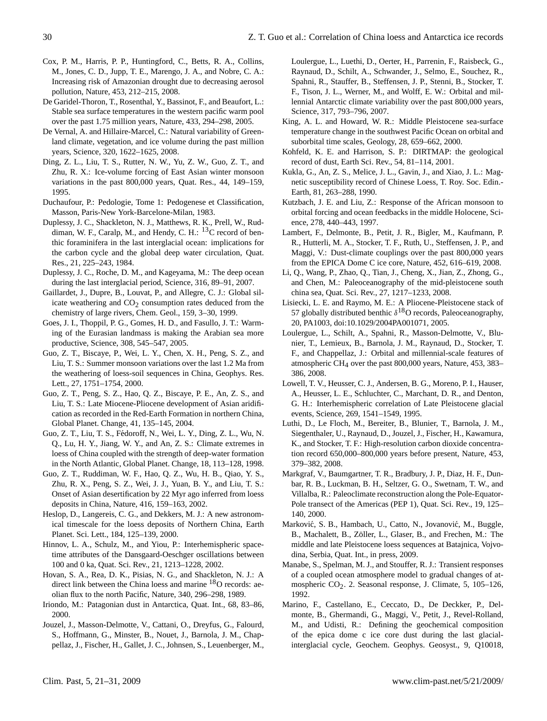- Cox, P. M., Harris, P. P., Huntingford, C., Betts, R. A., Collins, M., Jones, C. D., Jupp, T. E., Marengo, J. A., and Nobre, C. A.: Increasing risk of Amazonian drought due to decreasing aerosol pollution, Nature, 453, 212–215, 2008.
- De Garidel-Thoron, T., Rosenthal, Y., Bassinot, F., and Beaufort, L.: Stable sea surface temperatures in the western pacific warm pool over the past 1.75 million years, Nature, 433, 294–298, 2005.
- De Vernal, A. and Hillaire-Marcel, C.: Natural variability of Greenland climate, vegetation, and ice volume during the past million years, Science, 320, 1622–1625, 2008.
- Ding, Z. L., Liu, T. S., Rutter, N. W., Yu, Z. W., Guo, Z. T., and Zhu, R. X.: Ice-volume forcing of East Asian winter monsoon variations in the past 800,000 years, Quat. Res., 44, 149–159, 1995.
- Duchaufour, P.: Pedologie, Tome 1: Pedogenese et Classification, Masson, Paris-New York-Barcelone-Milan, 1983.
- Duplessy, J. C., Shackleton, N. J., Matthews, R. K., Prell, W., Ruddiman, W. F., Caralp, M., and Hendy, C. H.: <sup>13</sup>C record of benthic foraminifera in the last interglacial ocean: implications for the carbon cycle and the global deep water circulation, Quat. Res., 21, 225–243, 1984.
- Duplessy, J. C., Roche, D. M., and Kageyama, M.: The deep ocean during the last interglacial period, Science, 316, 89–91, 2007.
- Gaillardet, J., Dupre, B., Louvat, P., and Allegre, C. J.: Global silicate weathering and  $CO<sub>2</sub>$  consumption rates deduced from the chemistry of large rivers, Chem. Geol., 159, 3–30, 1999.
- Goes, J. I., Thoppil, P. G., Gomes, H. D., and Fasullo, J. T.: Warming of the Eurasian landmass is making the Arabian sea more productive, Science, 308, 545–547, 2005.
- Guo, Z. T., Biscaye, P., Wei, L. Y., Chen, X. H., Peng, S. Z., and Liu, T. S.: Summer monsoon variations over the last 1.2 Ma from the weathering of loess-soil sequences in China, Geophys. Res. Lett., 27, 1751–1754, 2000.
- Guo, Z. T., Peng, S. Z., Hao, Q. Z., Biscaye, P. E., An, Z. S., and Liu, T. S.: Late Miocene-Pliocene development of Asian aridification as recorded in the Red-Earth Formation in northern China, Global Planet. Change, 41, 135–145, 2004.
- Guo, Z. T., Liu, T. S., Fedoroff, N., Wei, L. Y., Ding, Z. L., Wu, N. ´ Q., Lu, H. Y., Jiang, W. Y., and An, Z. S.: Climate extremes in loess of China coupled with the strength of deep-water formation in the North Atlantic, Global Planet. Change, 18, 113–128, 1998.
- Guo, Z. T., Ruddiman, W. F., Hao, Q. Z., Wu, H. B., Qiao, Y. S., Zhu, R. X., Peng, S. Z., Wei, J. J., Yuan, B. Y., and Liu, T. S.: Onset of Asian desertification by 22 Myr ago inferred from loess deposits in China, Nature, 416, 159–163, 2002.
- Heslop, D., Langereis, C. G., and Dekkers, M. J.: A new astronomical timescale for the loess deposits of Northern China, Earth Planet. Sci. Lett., 184, 125–139, 2000.
- Hinnov, L. A., Schulz, M., and Yiou, P.: Interhemispheric spacetime attributes of the Dansgaard-Oeschger oscillations between 100 and 0 ka, Quat. Sci. Rev., 21, 1213–1228, 2002.
- Hovan, S. A., Rea, D. K., Pisias, N. G., and Shackleton, N. J.: A direct link between the China loess and marine <sup>18</sup>O records: aeolian flux to the north Pacific, Nature, 340, 296–298, 1989.
- Iriondo, M.: Patagonian dust in Antarctica, Quat. Int., 68, 83–86, 2000.
- Jouzel, J., Masson-Delmotte, V., Cattani, O., Dreyfus, G., Falourd, S., Hoffmann, G., Minster, B., Nouet, J., Barnola, J. M., Chappellaz, J., Fischer, H., Gallet, J. C., Johnsen, S., Leuenberger, M.,

Loulergue, L., Luethi, D., Oerter, H., Parrenin, F., Raisbeck, G., Raynaud, D., Schilt, A., Schwander, J., Selmo, E., Souchez, R., Spahni, R., Stauffer, B., Steffensen, J. P., Stenni, B., Stocker, T. F., Tison, J. L., Werner, M., and Wolff, E. W.: Orbital and millennial Antarctic climate variability over the past 800,000 years, Science, 317, 793–796, 2007.

- King, A. L. and Howard, W. R.: Middle Pleistocene sea-surface temperature change in the southwest Pacific Ocean on orbital and suborbital time scales, Geology, 28, 659–662, 2000.
- Kohfeld, K. E. and Harrison, S. P.: DIRTMAP: the geological record of dust, Earth Sci. Rev., 54, 81–114, 2001.
- Kukla, G., An, Z. S., Melice, J. L., Gavin, J., and Xiao, J. L.: Magnetic susceptibility record of Chinese Loess, T. Roy. Soc. Edin.- Earth, 81, 263–288, 1990.
- Kutzbach, J. E. and Liu, Z.: Response of the African monsoon to orbital forcing and ocean feedbacks in the middle Holocene, Science, 278, 440–443, 1997.
- Lambert, F., Delmonte, B., Petit, J. R., Bigler, M., Kaufmann, P. R., Hutterli, M. A., Stocker, T. F., Ruth, U., Steffensen, J. P., and Maggi, V.: Dust-climate couplings over the past 800,000 years from the EPICA Dome C ice core, Nature, 452, 616–619, 2008.
- Li, Q., Wang, P., Zhao, Q., Tian, J., Cheng, X., Jian, Z., Zhong, G., and Chen, M.: Paleoceanography of the mid-pleistocene south china sea, Quat. Sci. Rev., 27, 1217–1233, 2008.
- Lisiecki, L. E. and Raymo, M. E.: A Pliocene-Pleistocene stack of 57 globally distributed benthic  $\delta^{18}$ O records, Paleoceanography, 20, PA1003, doi:10.1029/2004PA001071, 2005.
- Loulergue, L., Schilt, A., Spahni, R., Masson-Delmotte, V., Blunier, T., Lemieux, B., Barnola, J. M., Raynaud, D., Stocker, T. F., and Chappellaz, J.: Orbital and millennial-scale features of atmospheric CH4 over the past 800,000 years, Nature, 453, 383– 386, 2008.
- Lowell, T. V., Heusser, C. J., Andersen, B. G., Moreno, P. I., Hauser, A., Heusser, L. E., Schluchter, C., Marchant, D. R., and Denton, G. H.: Interhemispheric correlation of Late Pleistocene glacial events, Science, 269, 1541–1549, 1995.
- Luthi, D., Le Floch, M., Bereiter, B., Blunier, T., Barnola, J. M., Siegenthaler, U., Raynaud, D., Jouzel, J., Fischer, H., Kawamura, K., and Stocker, T. F.: High-resolution carbon dioxide concentration record 650,000–800,000 years before present, Nature, 453, 379–382, 2008.
- Markgraf, V., Baumgartner, T. R., Bradbury, J. P., Diaz, H. F., Dunbar, R. B., Luckman, B. H., Seltzer, G. O., Swetnam, T. W., and Villalba, R.: Paleoclimate reconstruction along the Pole-Equator-Pole transect of the Americas (PEP 1), Quat. Sci. Rev., 19, 125– 140, 2000.
- Marković, S. B., Hambach, U., Catto, N., Jovanović, M., Buggle, B., Machalett, B., Zöller, L., Glaser, B., and Frechen, M.: The middle and late Pleistocene loess sequences at Batajnica, Vojvodina, Serbia, Quat. Int., in press, 2009.
- Manabe, S., Spelman, M. J., and Stouffer, R. J.: Transient responses of a coupled ocean atmosphere model to gradual changes of atmospheric CO<sub>2</sub>. 2. Seasonal response, J. Climate, 5, 105-126, 1992.
- Marino, F., Castellano, E., Ceccato, D., De Deckker, P., Delmonte, B., Ghermandi, G., Maggi, V., Petit, J., Revel-Rolland, M., and Udisti, R.: Defining the geochemical composition of the epica dome c ice core dust during the last glacialinterglacial cycle, Geochem. Geophys. Geosyst., 9, Q10018,